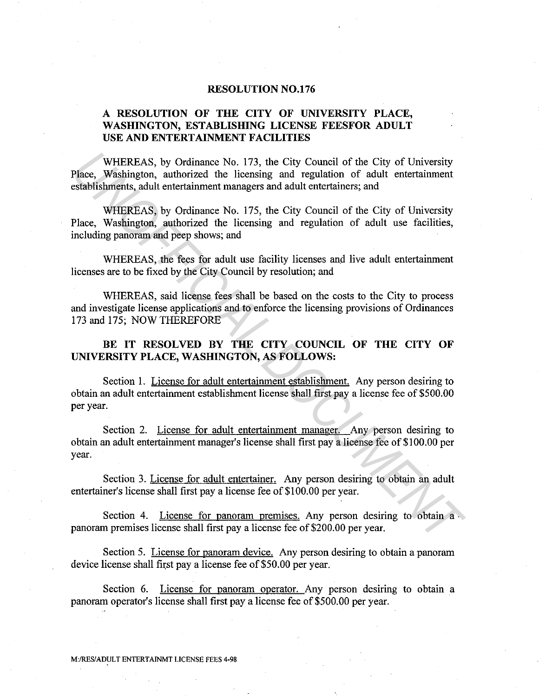## **RESOLUTION N0.176**

## **A RESOLUTION OF THE CITY OF UNIVERSITY PLACE, WASHINGTON, ESTABLISHING LICENSE FEESFOR ADULT USE AND ENTERTAINMENT FACILITIES**

WHEREAS, by Ordinance No. 173, the City Council of the City of University Place, Washington, authorized the licensing and regulation of adult entertainment establishments, adult entertainment managers and adult entertainers; and

WHEREAS, by Ordinance No. 175, the City Council of the City of University Place, Washington, authorized the licensing and regulation of adult use facilities, including panoram and peep shows; and

WHEREAS, the fees for adult use facility licenses and live adult entertainment licenses are to be fixed by the City Council by resolution; and

WHEREAS, said license fees shall be based on the costs to the City to process and investigate license applications and to enforce the licensing provisions of Ordinances 173 and 175; NOW THEREFORE

BE IT RESOLVED BY THE CITY COUNCIL OF THE CITY OF **UNIVERSITY PLACE, WASHINGTON, AS FOLLOWS:** 

Section 1. License for adult entertainment establishment. Any person desiring to obtain an adult entertainment establishment license shall first pay a license fee of \$500.00 per year.

Section 2. License for adult entertainment manager. Any person desiring to obtain an adult entertainment manager's license shall first pay a license fee of \$100.00 per year. WHEREAS, by Ordinance No. 173, the City Council of the City of University<br>Place, Washington, authorized the licensing and regulation of adult entertainment<br>establishments, adult entertainment managers and adult entertainme

Section 3. License for adult entertainer. Any person desiring to obtain an adult entertainer's license shall first pay a license fee of \$100.00 per year.

Section 4. License for panoram premises. Any person desiring to obtain a panoram premises license shall first pay a license fee of \$200.00 per year.

Section 5. License for panoram device. Any person desiring to obtain a panoram device license shall first pay a license fee of \$50.00 per year.

Section 6. License for panoram operator. Any person desiring to obtain a panoram operator's license shall first pay a license fee of \$500.00 per year.